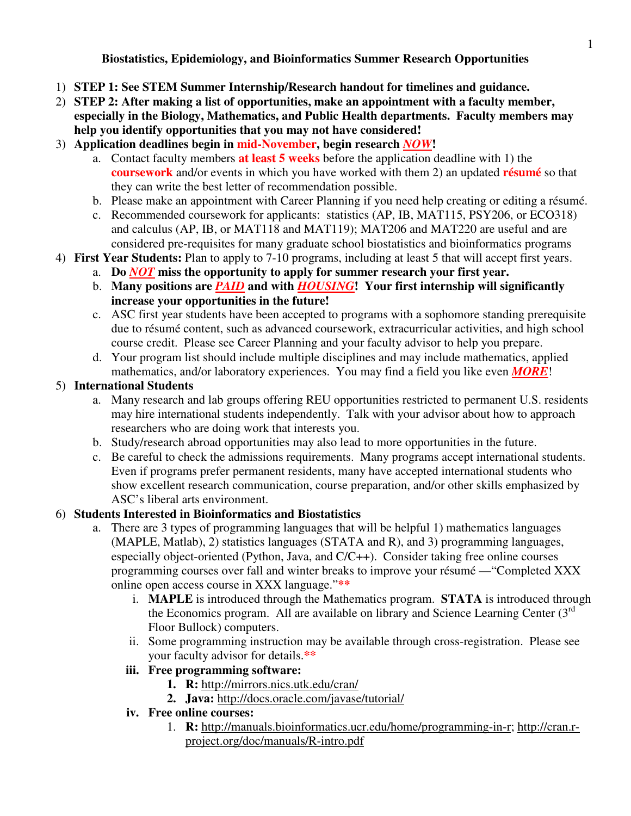**Biostatistics, Epidemiology, and Bioinformatics Summer Research Opportunities** 

- 1) **STEP 1: See STEM Summer Internship/Research handout for timelines and guidance.**
- 2) **STEP 2: After making a list of opportunities, make an appointment with a faculty member, especially in the Biology, Mathematics, and Public Health departments. Faculty members may help you identify opportunities that you may not have considered!**
- 3) **Application deadlines begin in mid-November, begin research** *NOW***!** 
	- a. Contact faculty members **at least 5 weeks** before the application deadline with 1) the **coursework** and/or events in which you have worked with them 2) an updated **résumé** so that they can write the best letter of recommendation possible.
	- b. Please make an appointment with Career Planning if you need help creating or editing a résumé.
	- c. Recommended coursework for applicants: statistics (AP, IB, MAT115, PSY206, or ECO318) and calculus (AP, IB, or MAT118 and MAT119); MAT206 and MAT220 are useful and are considered pre-requisites for many graduate school biostatistics and bioinformatics programs
- 4) **First Year Students:** Plan to apply to 7-10 programs, including at least 5 that will accept first years.
	- a. **Do** *NOT* **miss the opportunity to apply for summer research your first year.**
	- b. **Many positions are** *PAID* **and with** *HOUSING***! Your first internship will significantly increase your opportunities in the future!**
	- c. ASC first year students have been accepted to programs with a sophomore standing prerequisite due to résumé content, such as advanced coursework, extracurricular activities, and high school course credit. Please see Career Planning and your faculty advisor to help you prepare.
	- d. Your program list should include multiple disciplines and may include mathematics, applied mathematics, and/or laboratory experiences. You may find a field you like even *MORE*!

#### 5) **International Students**

- a. Many research and lab groups offering REU opportunities restricted to permanent U.S. residents may hire international students independently. Talk with your advisor about how to approach researchers who are doing work that interests you.
- b. Study/research abroad opportunities may also lead to more opportunities in the future.
- c. Be careful to check the admissions requirements. Many programs accept international students. Even if programs prefer permanent residents, many have accepted international students who show excellent research communication, course preparation, and/or other skills emphasized by ASC's liberal arts environment.

### 6) **Students Interested in Bioinformatics and Biostatistics**

- a. There are 3 types of programming languages that will be helpful 1) mathematics languages (MAPLE, Matlab), 2) statistics languages (STATA and R), and 3) programming languages, especially object-oriented (Python, Java, and C/C++). Consider taking free online courses programming courses over fall and winter breaks to improve your résumé —"Completed XXX online open access course in XXX language."**\*\*** 
	- i. **MAPLE** is introduced through the Mathematics program. **STATA** is introduced through the Economics program. All are available on library and Science Learning Center  $(3<sup>rd</sup>$ Floor Bullock) computers.
	- ii. Some programming instruction may be available through cross-registration. Please see your faculty advisor for details.**\*\***

#### **iii. Free programming software:**

- **1. R:** http://mirrors.nics.utk.edu/cran/
- **2. Java:** http://docs.oracle.com/javase/tutorial/

#### **iv. Free online courses:**

1. **R:** http://manuals.bioinformatics.ucr.edu/home/programming-in-r; http://cran.rproject.org/doc/manuals/R-intro.pdf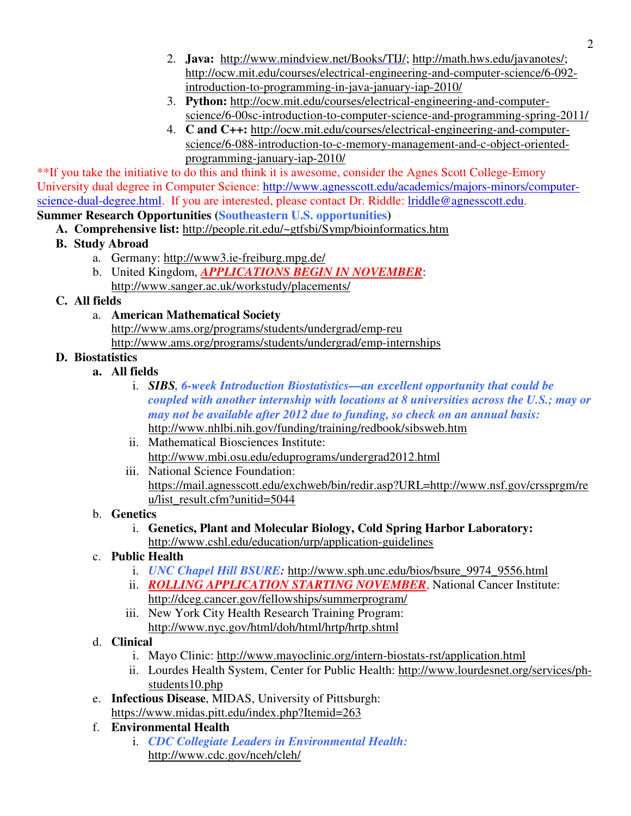- 2. **Java:** http://www.mindview.net/Books/TIJ/; http://math.hws.edu/javanotes/; http://ocw.mit.edu/courses/electrical-engineering-and-computer-science/6-092 introduction-to-programming-in-java-january-iap-2010/
- 3. **Python:** http://ocw.mit.edu/courses/electrical-engineering-and-computerscience/6-00sc-introduction-to-computer-science-and-programming-spring-2011/
- 4. **C and C++:** http://ocw.mit.edu/courses/electrical-engineering-and-computerscience/6-088-introduction-to-c-memory-management-and-c-object-orientedprogramming-january-iap-2010/

\*\*If you take the initiative to do this and think it is awesome, consider the Agnes Scott College-Emory University dual degree in Computer Science: http://www.agnesscott.edu/academics/majors-minors/computerscience-dual-degree.html. If you are interested, please contact Dr. Riddle: lriddle@agnesscott.edu. **Summer Research Opportunities (Southeastern U.S. opportunities)** 

- **A. Comprehensive list:** http://people.rit.edu/~gtfsbi/Symp/bioinformatics.htm
- **B. Study Abroad** 
	- a. Germany: http://www3.ie-freiburg.mpg.de/
	- b. United Kingdom, *APPLICATIONS BEGIN IN NOVEMBER*:
	- http://www.sanger.ac.uk/workstudy/placements/

### **C. All fields**

a. **American Mathematical Society** 

http://www.ams.org/programs/students/undergrad/emp-reu http://www.ams.org/programs/students/undergrad/emp-internships

### **D. Biostatistics**

- **a. All fields** 
	- i. *SIBS, 6-week Introduction Biostatistics—an excellent opportunity that could be coupled with another internship with locations at 8 universities across the U.S.; may or may not be available after 2012 due to funding, so check on an annual basis:*  http://www.nhlbi.nih.gov/funding/training/redbook/sibsweb.htm
	- ii. Mathematical Biosciences Institute: http://www.mbi.osu.edu/eduprograms/undergrad2012.html
	- iii. National Science Foundation: https://mail.agnesscott.edu/exchweb/bin/redir.asp?URL=http://www.nsf.gov/crssprgm/re u/list\_result.cfm?unitid=5044
- b. **Genetics**
	- i. **Genetics, Plant and Molecular Biology, Cold Spring Harbor Laboratory:**  http://www.cshl.edu/education/urp/application-guidelines
- c. **Public Health**
	- i. *UNC Chapel Hill BSURE:* http://www.sph.unc.edu/bios/bsure\_9974\_9556.html
	- ii. *ROLLING APPLICATION STARTING NOVEMBER*, National Cancer Institute: http://dceg.cancer.gov/fellowships/summerprogram/
	- iii. New York City Health Research Training Program: http://www.nyc.gov/html/doh/html/hrtp/hrtp.shtml
- d. **Clinical**
	- i. Mayo Clinic: http://www.mayoclinic.org/intern-biostats-rst/application.html
	- ii. Lourdes Health System, Center for Public Health: http://www.lourdesnet.org/services/phstudents10.php
- e. **Infectious Disease**, MIDAS, University of Pittsburgh:
	- https://www.midas.pitt.edu/index.php?Itemid=263
- f. **Environmental Health**
	- i. *CDC Collegiate Leaders in Environmental Health:*  http://www.cdc.gov/nceh/cleh/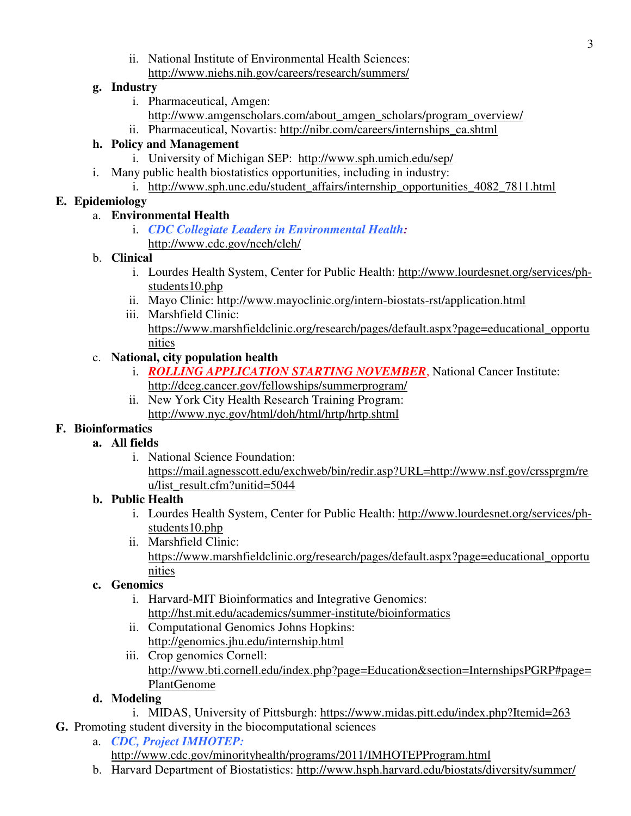ii. National Institute of Environmental Health Sciences: http://www.niehs.nih.gov/careers/research/summers/

### **g. Industry**

- i. Pharmaceutical, Amgen:
	- http://www.amgenscholars.com/about\_amgen\_scholars/program\_overview/
- ii. Pharmaceutical, Novartis: http://nibr.com/careers/internships\_ca.shtml

### **h. Policy and Management**

- i. University of Michigan SEP: http://www.sph.umich.edu/sep/
- i. Many public health biostatistics opportunities, including in industry:
	- i. http://www.sph.unc.edu/student\_affairs/internship\_opportunities\_4082\_7811.html

# **E. Epidemiology**

### a. **Environmental Health**

i. *CDC Collegiate Leaders in Environmental Health:*  http://www.cdc.gov/nceh/cleh/

### b. **Clinical**

- i. Lourdes Health System, Center for Public Health: http://www.lourdesnet.org/services/phstudents10.php
- ii. Mayo Clinic: http://www.mayoclinic.org/intern-biostats-rst/application.html
- iii. Marshfield Clinic: https://www.marshfieldclinic.org/research/pages/default.aspx?page=educational\_opportu nities

# c. **National, city population health**

- i. *ROLLING APPLICATION STARTING NOVEMBER*, National Cancer Institute: http://dceg.cancer.gov/fellowships/summerprogram/
	- ii. New York City Health Research Training Program: http://www.nyc.gov/html/doh/html/hrtp/hrtp.shtml

# **F. Bioinformatics**

# **a. All fields**

i. National Science Foundation: https://mail.agnesscott.edu/exchweb/bin/redir.asp?URL=http://www.nsf.gov/crssprgm/re u/list\_result.cfm?unitid=5044

# **b. Public Health**

- i. Lourdes Health System, Center for Public Health: http://www.lourdesnet.org/services/phstudents10.php
- ii. Marshfield Clinic: https://www.marshfieldclinic.org/research/pages/default.aspx?page=educational\_opportu nities

# **c. Genomics**

- i. Harvard-MIT Bioinformatics and Integrative Genomics: http://hst.mit.edu/academics/summer-institute/bioinformatics
- ii. Computational Genomics Johns Hopkins: http://genomics.jhu.edu/internship.html
- iii. Crop genomics Cornell: http://www.bti.cornell.edu/index.php?page=Education&section=InternshipsPGRP#page= PlantGenome

# **d. Modeling**

- i. MIDAS, University of Pittsburgh: https://www.midas.pitt.edu/index.php?Itemid=263
- **G.** Promoting student diversity in the biocomputational sciences
	- a. *CDC, Project IMHOTEP:* http://www.cdc.gov/minorityhealth/programs/2011/IMHOTEPProgram.html
	- b. Harvard Department of Biostatistics: http://www.hsph.harvard.edu/biostats/diversity/summer/